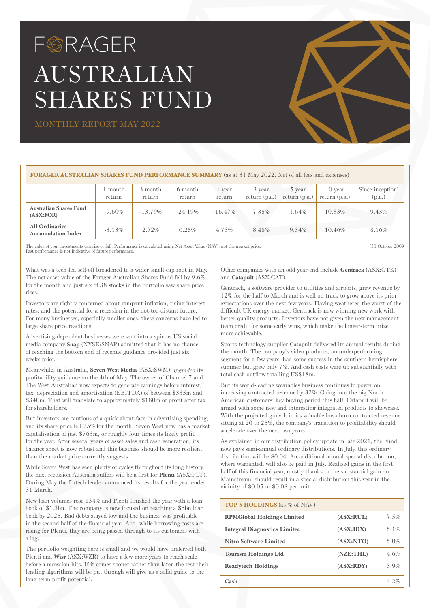# FØRAGER AUSTRALIAN SHARES FUND

MONTHLY REPORT MAY 2022

## **FORAGER AUSTRALIAN SHARES FUND PERFORMANCE SUMMARY** (as at 31 May 2022. Net of all fees and expenses)

|                                                    | month<br>return | 3 month<br>return | 6 month<br>return | year<br>return | 3 year<br>return $(p.a.)$ | 5 year<br>return $(p.a.)$ | 10 year<br>return $(p.a.)$ | Since inception <sup>*</sup><br>(p.a.) |
|----------------------------------------------------|-----------------|-------------------|-------------------|----------------|---------------------------|---------------------------|----------------------------|----------------------------------------|
| <b>Australian Shares Fund</b><br>(ASK:FOR)         | $-9.60\%$       | $-13.79\%$        | $-24.19%$         | $-16.47\%$     | $7.35\%$                  | 1.64%                     | 10.83%                     | $9.43\%$                               |
| <b>All Ordinaries</b><br><b>Accumulation Index</b> | $-3.13\%$       | $2.72\%$          | 0.25%             | 4.73%          | 8.48%                     | 9.34%                     | 10.46%                     | 8.16%                                  |

The value of your investments can rise or fall. Performance is calculated using Net Asset Value (NAV), not the market price. Past performance is not indicative of future performance

\* 30 October 2009

What was a tech-led sell-off broadened to a wider small-cap rout in May. The net asset value of the Forager Australian Shares Fund fell by 9.6% for the month and just six of 38 stocks in the portfolio saw share price rises.

Investors are rightly concerned about rampant inflation, rising interest rates, and the potential for a recession in the not-too-distant future. For many businesses, especially smaller ones, these concerns have led to large share price reactions.

Advertising-dependent businesses were sent into a spin as US social media company **Snap** (NYSE:SNAP) admitted that it has no chance of reaching the bottom end of revenue guidance provided just six weeks prior.

Meanwhile, in Australia, **Seven West Media** (ASX:SWM) upgraded its profitability guidance on the 4th of May. The owner of Channel 7 and The West Australian now expects to generate earnings before interest, tax, depreciation and amortisation (EBITDA) of between \$335m and \$340m. That will translate to approximately \$180m of profit after tax for shareholders.

But investors are cautious of a quick about-face in advertising spending, and its share price fell 25% for the month. Seven West now has a market capitalisation of just \$763m, or roughly four times its likely profit for the year. After several years of asset sales and cash generation, its balance sheet is now robust and this business should be more resilient than the market price currently suggests.

While Seven West has seen plenty of cycles throughout its long history, the next recession Australia suffers will be a first for **Plenti** (ASX:PLT). During May the fintech lender announced its results for the year ended 31 March.

New loan volumes rose 134% and Plenti finished the year with a loan book of \$1.3bn. The company is now focused on reaching a \$5bn loan book by 2025. Bad debts stayed low and the business was profitable in the second half of the financial year. And, while borrowing costs are rising for Plenti, they are being passed through to its customers with a lag.

The portfolio weighting here is small and we would have preferred both Plenti and **Wisr** (ASX:WZR) to have a few more years to reach scale before a recession hits. If it comes sooner rather than later, the test their lending algorithms will be put through will give us a solid guide to the long-term profit potential.

Other companies with an odd year-end include **Gentrack** (ASX:GTK) and **Catapult** (ASX:CAT).

Gentrack, a software provider to utilities and airports, grew revenue by 12% for the half to March and is well on track to grow above its prior expectations over the next few years. Having weathered the worst of the difficult UK energy market, Gentrack is now winning new work with better quality products. Investors have not given the new management team credit for some early wins, which make the longer-term prize more achievable.

Sports technology supplier Catapult delivered its annual results during the month. The company's video products, an underperforming segment for a few years, had some success in the southern hemisphere summer but grew only 7%. And cash costs were up substantially with total cash outflow totalling US\$18m.

But its world-leading wearables business continues to power on, increasing contracted revenue by 32%. Going into the big North American customers' key buying period this half, Catapult will be armed with some new and interesting integrated products to showcase. With the projected growth in its valuable low-churn contracted revenue sitting at 20 to 25%, the company's transition to profitability should accelerate over the next two years.

As explained in our distribution policy update in late 2021, the Fund now pays semi-annual ordinary distributions. In July, this ordinary distribution will be \$0.04. An additional annual special distribution, where warranted, will also be paid in July. Realised gains in the first half of this financial year, mostly thanks to the substantial gain on Mainstream, should result in a special distribution this year in the vicinity of \$0.05 to \$0.08 per unit.

| <b>TOP 5 HOLDINGS</b> (as % of NAV) |             |             |
|-------------------------------------|-------------|-------------|
| <b>RPMGlobal Holdings Limited</b>   | (ASK: RULE) | $7.5\%$     |
| <b>Integral Diagnostics Limited</b> | (ASK:IDX)   | $5.1\%$     |
| Nitro Software Limited              | (ASX:NTO)   | 5.0%        |
| <b>Tourism Holdings Ltd</b>         | (NZE:THL)   | 4.6%        |
| <b>Readytech Holdings</b>           | (ASK: RDY)  | $3.9\%$     |
| $\mathbf{Cash}$                     |             | $\Delta$ 2% |